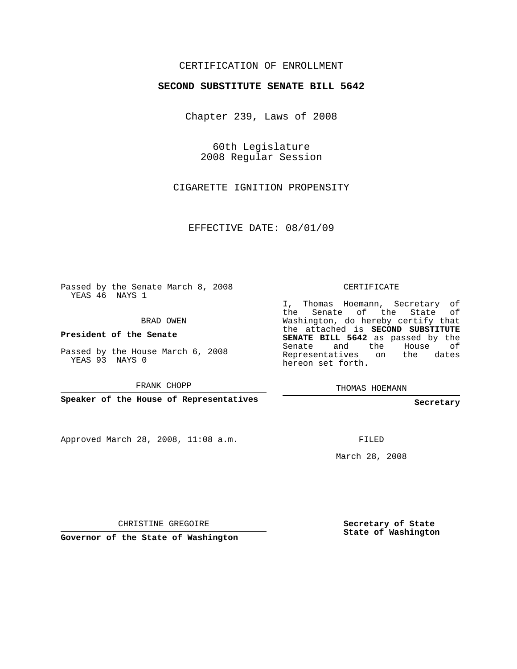## CERTIFICATION OF ENROLLMENT

## **SECOND SUBSTITUTE SENATE BILL 5642**

Chapter 239, Laws of 2008

60th Legislature 2008 Regular Session

CIGARETTE IGNITION PROPENSITY

EFFECTIVE DATE: 08/01/09

Passed by the Senate March 8, 2008 YEAS 46 NAYS 1

BRAD OWEN

**President of the Senate**

Passed by the House March 6, 2008 YEAS 93 NAYS 0

FRANK CHOPP

**Speaker of the House of Representatives**

Approved March 28, 2008, 11:08 a.m.

CERTIFICATE

I, Thomas Hoemann, Secretary of the Senate of the State of Washington, do hereby certify that the attached is **SECOND SUBSTITUTE SENATE BILL 5642** as passed by the Senate and the House of Representatives on the dates hereon set forth.

THOMAS HOEMANN

**Secretary**

FILED

March 28, 2008

CHRISTINE GREGOIRE

**Governor of the State of Washington**

**Secretary of State State of Washington**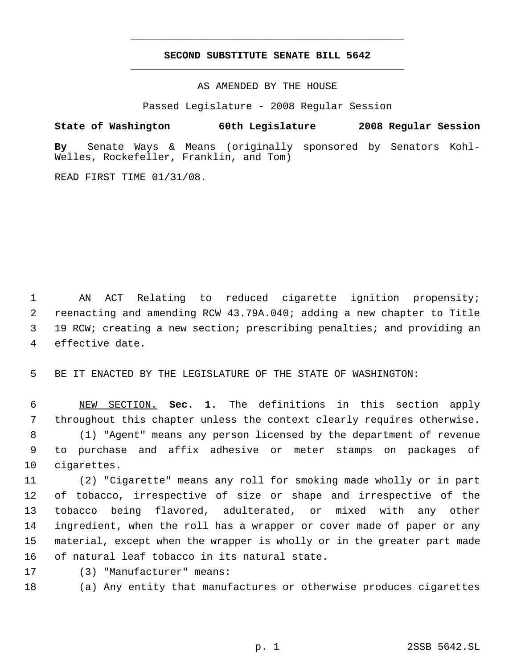## **SECOND SUBSTITUTE SENATE BILL 5642** \_\_\_\_\_\_\_\_\_\_\_\_\_\_\_\_\_\_\_\_\_\_\_\_\_\_\_\_\_\_\_\_\_\_\_\_\_\_\_\_\_\_\_\_\_

\_\_\_\_\_\_\_\_\_\_\_\_\_\_\_\_\_\_\_\_\_\_\_\_\_\_\_\_\_\_\_\_\_\_\_\_\_\_\_\_\_\_\_\_\_

AS AMENDED BY THE HOUSE

Passed Legislature - 2008 Regular Session

**State of Washington 60th Legislature 2008 Regular Session By** Senate Ways & Means (originally sponsored by Senators Kohl-Welles, Rockefeller, Franklin, and Tom)

READ FIRST TIME 01/31/08.

 AN ACT Relating to reduced cigarette ignition propensity; reenacting and amending RCW 43.79A.040; adding a new chapter to Title 19 RCW; creating a new section; prescribing penalties; and providing an effective date.

BE IT ENACTED BY THE LEGISLATURE OF THE STATE OF WASHINGTON:

 NEW SECTION. **Sec. 1.** The definitions in this section apply throughout this chapter unless the context clearly requires otherwise. (1) "Agent" means any person licensed by the department of revenue to purchase and affix adhesive or meter stamps on packages of cigarettes.

 (2) "Cigarette" means any roll for smoking made wholly or in part of tobacco, irrespective of size or shape and irrespective of the tobacco being flavored, adulterated, or mixed with any other ingredient, when the roll has a wrapper or cover made of paper or any material, except when the wrapper is wholly or in the greater part made of natural leaf tobacco in its natural state.

(3) "Manufacturer" means:

(a) Any entity that manufactures or otherwise produces cigarettes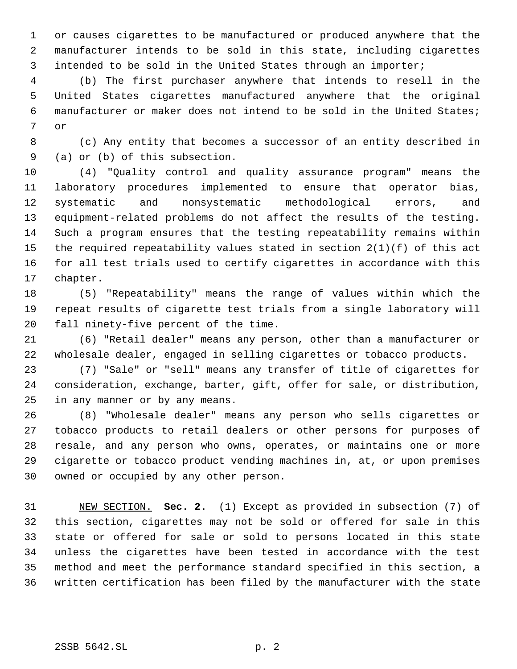or causes cigarettes to be manufactured or produced anywhere that the manufacturer intends to be sold in this state, including cigarettes intended to be sold in the United States through an importer;

 (b) The first purchaser anywhere that intends to resell in the United States cigarettes manufactured anywhere that the original manufacturer or maker does not intend to be sold in the United States; or

 (c) Any entity that becomes a successor of an entity described in (a) or (b) of this subsection.

 (4) "Quality control and quality assurance program" means the laboratory procedures implemented to ensure that operator bias, systematic and nonsystematic methodological errors, and equipment-related problems do not affect the results of the testing. Such a program ensures that the testing repeatability remains within the required repeatability values stated in section 2(1)(f) of this act for all test trials used to certify cigarettes in accordance with this chapter.

 (5) "Repeatability" means the range of values within which the repeat results of cigarette test trials from a single laboratory will fall ninety-five percent of the time.

 (6) "Retail dealer" means any person, other than a manufacturer or wholesale dealer, engaged in selling cigarettes or tobacco products.

 (7) "Sale" or "sell" means any transfer of title of cigarettes for consideration, exchange, barter, gift, offer for sale, or distribution, in any manner or by any means.

 (8) "Wholesale dealer" means any person who sells cigarettes or tobacco products to retail dealers or other persons for purposes of resale, and any person who owns, operates, or maintains one or more cigarette or tobacco product vending machines in, at, or upon premises owned or occupied by any other person.

 NEW SECTION. **Sec. 2.** (1) Except as provided in subsection (7) of this section, cigarettes may not be sold or offered for sale in this state or offered for sale or sold to persons located in this state unless the cigarettes have been tested in accordance with the test method and meet the performance standard specified in this section, a written certification has been filed by the manufacturer with the state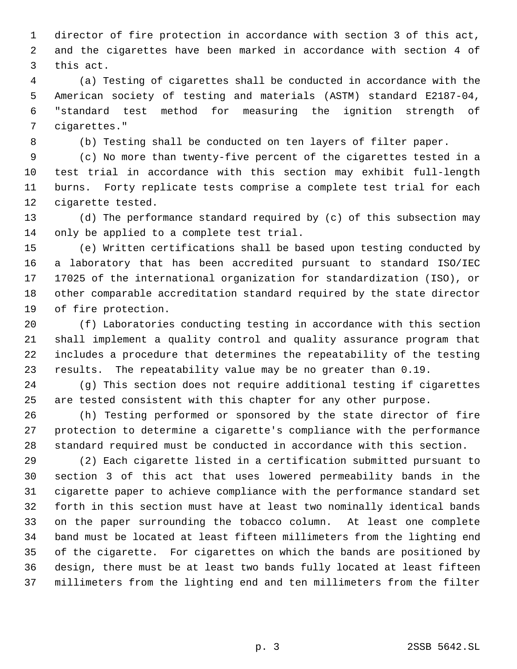director of fire protection in accordance with section 3 of this act, and the cigarettes have been marked in accordance with section 4 of this act.

 (a) Testing of cigarettes shall be conducted in accordance with the American society of testing and materials (ASTM) standard E2187-04, "standard test method for measuring the ignition strength of cigarettes."

(b) Testing shall be conducted on ten layers of filter paper.

 (c) No more than twenty-five percent of the cigarettes tested in a test trial in accordance with this section may exhibit full-length burns. Forty replicate tests comprise a complete test trial for each cigarette tested.

 (d) The performance standard required by (c) of this subsection may only be applied to a complete test trial.

 (e) Written certifications shall be based upon testing conducted by a laboratory that has been accredited pursuant to standard ISO/IEC 17025 of the international organization for standardization (ISO), or other comparable accreditation standard required by the state director of fire protection.

 (f) Laboratories conducting testing in accordance with this section shall implement a quality control and quality assurance program that includes a procedure that determines the repeatability of the testing results. The repeatability value may be no greater than 0.19.

 (g) This section does not require additional testing if cigarettes are tested consistent with this chapter for any other purpose.

 (h) Testing performed or sponsored by the state director of fire protection to determine a cigarette's compliance with the performance standard required must be conducted in accordance with this section.

 (2) Each cigarette listed in a certification submitted pursuant to section 3 of this act that uses lowered permeability bands in the cigarette paper to achieve compliance with the performance standard set forth in this section must have at least two nominally identical bands on the paper surrounding the tobacco column. At least one complete band must be located at least fifteen millimeters from the lighting end of the cigarette. For cigarettes on which the bands are positioned by design, there must be at least two bands fully located at least fifteen millimeters from the lighting end and ten millimeters from the filter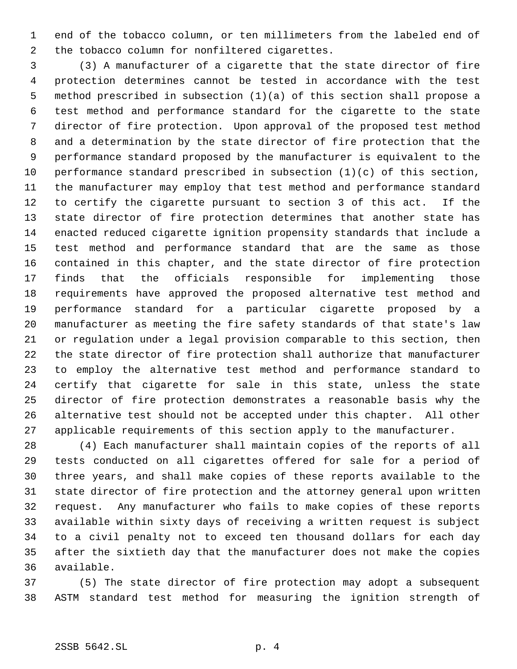end of the tobacco column, or ten millimeters from the labeled end of the tobacco column for nonfiltered cigarettes.

 (3) A manufacturer of a cigarette that the state director of fire protection determines cannot be tested in accordance with the test method prescribed in subsection (1)(a) of this section shall propose a test method and performance standard for the cigarette to the state director of fire protection. Upon approval of the proposed test method and a determination by the state director of fire protection that the performance standard proposed by the manufacturer is equivalent to the performance standard prescribed in subsection (1)(c) of this section, the manufacturer may employ that test method and performance standard to certify the cigarette pursuant to section 3 of this act. If the state director of fire protection determines that another state has enacted reduced cigarette ignition propensity standards that include a test method and performance standard that are the same as those contained in this chapter, and the state director of fire protection finds that the officials responsible for implementing those requirements have approved the proposed alternative test method and performance standard for a particular cigarette proposed by a manufacturer as meeting the fire safety standards of that state's law or regulation under a legal provision comparable to this section, then the state director of fire protection shall authorize that manufacturer to employ the alternative test method and performance standard to certify that cigarette for sale in this state, unless the state director of fire protection demonstrates a reasonable basis why the alternative test should not be accepted under this chapter. All other applicable requirements of this section apply to the manufacturer.

 (4) Each manufacturer shall maintain copies of the reports of all tests conducted on all cigarettes offered for sale for a period of three years, and shall make copies of these reports available to the state director of fire protection and the attorney general upon written request. Any manufacturer who fails to make copies of these reports available within sixty days of receiving a written request is subject to a civil penalty not to exceed ten thousand dollars for each day after the sixtieth day that the manufacturer does not make the copies available.

 (5) The state director of fire protection may adopt a subsequent ASTM standard test method for measuring the ignition strength of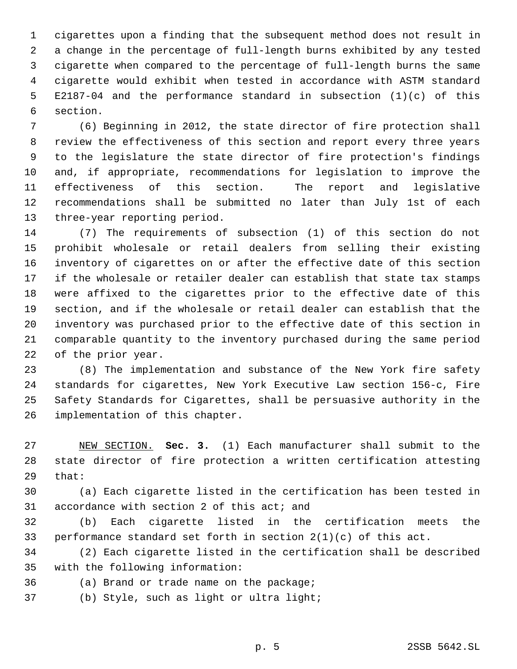cigarettes upon a finding that the subsequent method does not result in a change in the percentage of full-length burns exhibited by any tested cigarette when compared to the percentage of full-length burns the same cigarette would exhibit when tested in accordance with ASTM standard E2187-04 and the performance standard in subsection (1)(c) of this section.

 (6) Beginning in 2012, the state director of fire protection shall review the effectiveness of this section and report every three years to the legislature the state director of fire protection's findings and, if appropriate, recommendations for legislation to improve the effectiveness of this section. The report and legislative recommendations shall be submitted no later than July 1st of each three-year reporting period.

 (7) The requirements of subsection (1) of this section do not prohibit wholesale or retail dealers from selling their existing inventory of cigarettes on or after the effective date of this section if the wholesale or retailer dealer can establish that state tax stamps were affixed to the cigarettes prior to the effective date of this section, and if the wholesale or retail dealer can establish that the inventory was purchased prior to the effective date of this section in comparable quantity to the inventory purchased during the same period of the prior year.

 (8) The implementation and substance of the New York fire safety standards for cigarettes, New York Executive Law section 156-c, Fire Safety Standards for Cigarettes, shall be persuasive authority in the implementation of this chapter.

 NEW SECTION. **Sec. 3.** (1) Each manufacturer shall submit to the state director of fire protection a written certification attesting that:

 (a) Each cigarette listed in the certification has been tested in accordance with section 2 of this act; and

 (b) Each cigarette listed in the certification meets the performance standard set forth in section 2(1)(c) of this act.

 (2) Each cigarette listed in the certification shall be described with the following information:

- (a) Brand or trade name on the package;
- (b) Style, such as light or ultra light;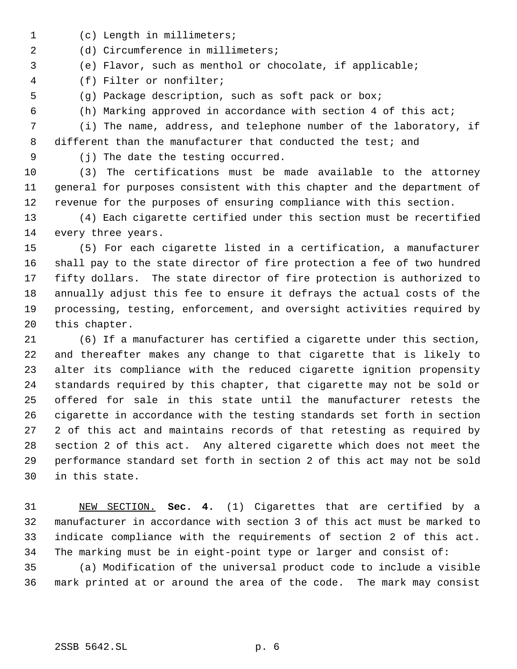- (c) Length in millimeters;
- (d) Circumference in millimeters;
- (e) Flavor, such as menthol or chocolate, if applicable;
- (f) Filter or nonfilter;
- (g) Package description, such as soft pack or box;
- - (h) Marking approved in accordance with section 4 of this act;

 (i) The name, address, and telephone number of the laboratory, if 8 different than the manufacturer that conducted the test; and

(j) The date the testing occurred.

 (3) The certifications must be made available to the attorney general for purposes consistent with this chapter and the department of revenue for the purposes of ensuring compliance with this section.

 (4) Each cigarette certified under this section must be recertified every three years.

 (5) For each cigarette listed in a certification, a manufacturer shall pay to the state director of fire protection a fee of two hundred fifty dollars. The state director of fire protection is authorized to annually adjust this fee to ensure it defrays the actual costs of the processing, testing, enforcement, and oversight activities required by this chapter.

 (6) If a manufacturer has certified a cigarette under this section, and thereafter makes any change to that cigarette that is likely to alter its compliance with the reduced cigarette ignition propensity standards required by this chapter, that cigarette may not be sold or offered for sale in this state until the manufacturer retests the cigarette in accordance with the testing standards set forth in section 2 of this act and maintains records of that retesting as required by section 2 of this act. Any altered cigarette which does not meet the performance standard set forth in section 2 of this act may not be sold in this state.

 NEW SECTION. **Sec. 4.** (1) Cigarettes that are certified by a manufacturer in accordance with section 3 of this act must be marked to indicate compliance with the requirements of section 2 of this act. The marking must be in eight-point type or larger and consist of:

 (a) Modification of the universal product code to include a visible mark printed at or around the area of the code. The mark may consist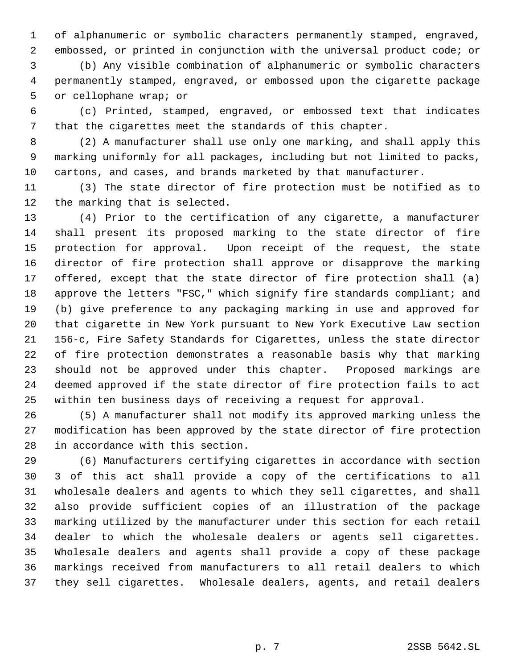of alphanumeric or symbolic characters permanently stamped, engraved, embossed, or printed in conjunction with the universal product code; or

 (b) Any visible combination of alphanumeric or symbolic characters permanently stamped, engraved, or embossed upon the cigarette package or cellophane wrap; or

 (c) Printed, stamped, engraved, or embossed text that indicates that the cigarettes meet the standards of this chapter.

 (2) A manufacturer shall use only one marking, and shall apply this marking uniformly for all packages, including but not limited to packs, cartons, and cases, and brands marketed by that manufacturer.

 (3) The state director of fire protection must be notified as to the marking that is selected.

 (4) Prior to the certification of any cigarette, a manufacturer shall present its proposed marking to the state director of fire protection for approval. Upon receipt of the request, the state director of fire protection shall approve or disapprove the marking offered, except that the state director of fire protection shall (a) 18 approve the letters "FSC," which signify fire standards compliant; and (b) give preference to any packaging marking in use and approved for that cigarette in New York pursuant to New York Executive Law section 156-c, Fire Safety Standards for Cigarettes, unless the state director of fire protection demonstrates a reasonable basis why that marking should not be approved under this chapter. Proposed markings are deemed approved if the state director of fire protection fails to act within ten business days of receiving a request for approval.

 (5) A manufacturer shall not modify its approved marking unless the modification has been approved by the state director of fire protection in accordance with this section.

 (6) Manufacturers certifying cigarettes in accordance with section 3 of this act shall provide a copy of the certifications to all wholesale dealers and agents to which they sell cigarettes, and shall also provide sufficient copies of an illustration of the package marking utilized by the manufacturer under this section for each retail dealer to which the wholesale dealers or agents sell cigarettes. Wholesale dealers and agents shall provide a copy of these package markings received from manufacturers to all retail dealers to which they sell cigarettes. Wholesale dealers, agents, and retail dealers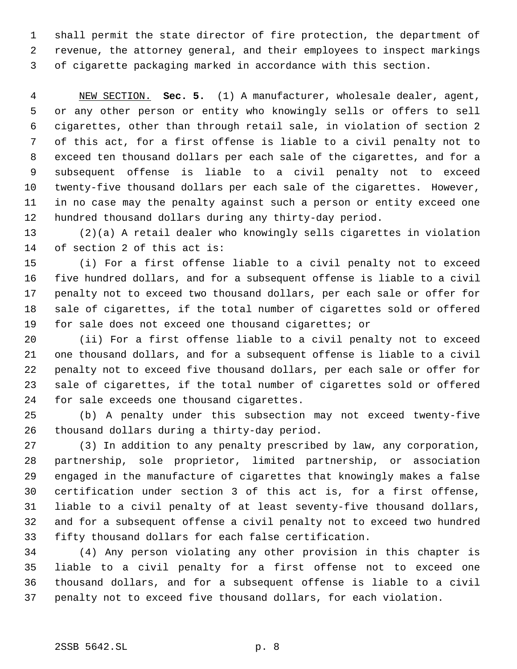shall permit the state director of fire protection, the department of revenue, the attorney general, and their employees to inspect markings of cigarette packaging marked in accordance with this section.

 NEW SECTION. **Sec. 5.** (1) A manufacturer, wholesale dealer, agent, or any other person or entity who knowingly sells or offers to sell cigarettes, other than through retail sale, in violation of section 2 of this act, for a first offense is liable to a civil penalty not to exceed ten thousand dollars per each sale of the cigarettes, and for a subsequent offense is liable to a civil penalty not to exceed twenty-five thousand dollars per each sale of the cigarettes. However, in no case may the penalty against such a person or entity exceed one hundred thousand dollars during any thirty-day period.

 (2)(a) A retail dealer who knowingly sells cigarettes in violation of section 2 of this act is:

 (i) For a first offense liable to a civil penalty not to exceed five hundred dollars, and for a subsequent offense is liable to a civil penalty not to exceed two thousand dollars, per each sale or offer for sale of cigarettes, if the total number of cigarettes sold or offered for sale does not exceed one thousand cigarettes; or

 (ii) For a first offense liable to a civil penalty not to exceed one thousand dollars, and for a subsequent offense is liable to a civil penalty not to exceed five thousand dollars, per each sale or offer for sale of cigarettes, if the total number of cigarettes sold or offered for sale exceeds one thousand cigarettes.

 (b) A penalty under this subsection may not exceed twenty-five thousand dollars during a thirty-day period.

 (3) In addition to any penalty prescribed by law, any corporation, partnership, sole proprietor, limited partnership, or association engaged in the manufacture of cigarettes that knowingly makes a false certification under section 3 of this act is, for a first offense, liable to a civil penalty of at least seventy-five thousand dollars, and for a subsequent offense a civil penalty not to exceed two hundred fifty thousand dollars for each false certification.

 (4) Any person violating any other provision in this chapter is liable to a civil penalty for a first offense not to exceed one thousand dollars, and for a subsequent offense is liable to a civil penalty not to exceed five thousand dollars, for each violation.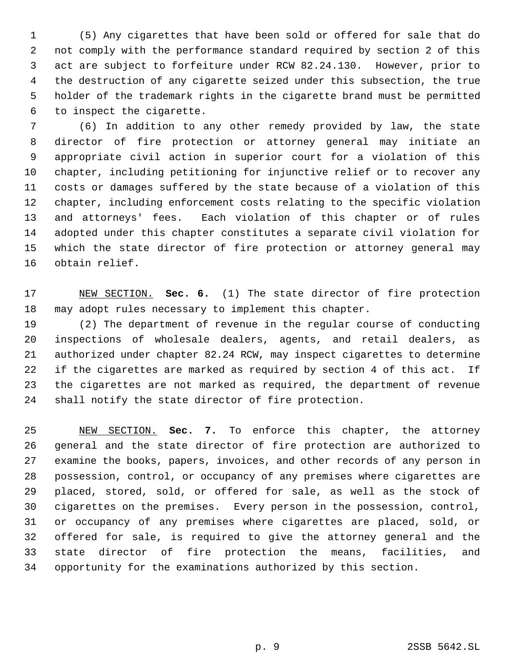(5) Any cigarettes that have been sold or offered for sale that do not comply with the performance standard required by section 2 of this act are subject to forfeiture under RCW 82.24.130. However, prior to the destruction of any cigarette seized under this subsection, the true holder of the trademark rights in the cigarette brand must be permitted to inspect the cigarette.

 (6) In addition to any other remedy provided by law, the state director of fire protection or attorney general may initiate an appropriate civil action in superior court for a violation of this chapter, including petitioning for injunctive relief or to recover any costs or damages suffered by the state because of a violation of this chapter, including enforcement costs relating to the specific violation and attorneys' fees. Each violation of this chapter or of rules adopted under this chapter constitutes a separate civil violation for which the state director of fire protection or attorney general may obtain relief.

 NEW SECTION. **Sec. 6.** (1) The state director of fire protection may adopt rules necessary to implement this chapter.

 (2) The department of revenue in the regular course of conducting inspections of wholesale dealers, agents, and retail dealers, as authorized under chapter 82.24 RCW, may inspect cigarettes to determine if the cigarettes are marked as required by section 4 of this act. If the cigarettes are not marked as required, the department of revenue shall notify the state director of fire protection.

 NEW SECTION. **Sec. 7.** To enforce this chapter, the attorney general and the state director of fire protection are authorized to examine the books, papers, invoices, and other records of any person in possession, control, or occupancy of any premises where cigarettes are placed, stored, sold, or offered for sale, as well as the stock of cigarettes on the premises. Every person in the possession, control, or occupancy of any premises where cigarettes are placed, sold, or offered for sale, is required to give the attorney general and the state director of fire protection the means, facilities, and opportunity for the examinations authorized by this section.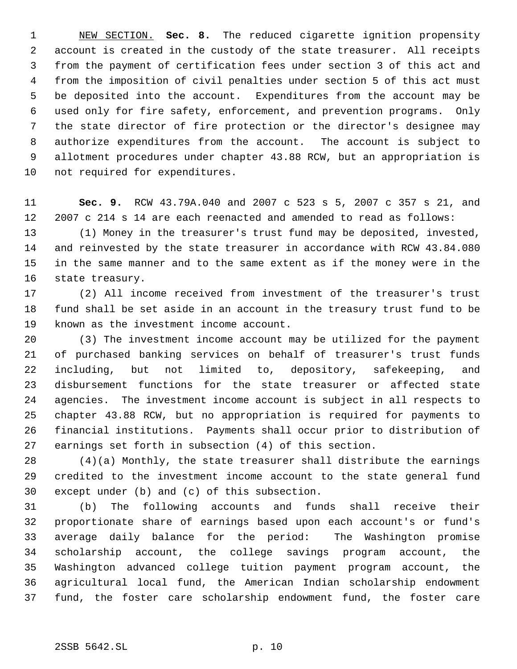NEW SECTION. **Sec. 8.** The reduced cigarette ignition propensity account is created in the custody of the state treasurer. All receipts from the payment of certification fees under section 3 of this act and from the imposition of civil penalties under section 5 of this act must be deposited into the account. Expenditures from the account may be used only for fire safety, enforcement, and prevention programs. Only the state director of fire protection or the director's designee may authorize expenditures from the account. The account is subject to allotment procedures under chapter 43.88 RCW, but an appropriation is not required for expenditures.

 **Sec. 9.** RCW 43.79A.040 and 2007 c 523 s 5, 2007 c 357 s 21, and 2007 c 214 s 14 are each reenacted and amended to read as follows:

 (1) Money in the treasurer's trust fund may be deposited, invested, and reinvested by the state treasurer in accordance with RCW 43.84.080 in the same manner and to the same extent as if the money were in the state treasury.

 (2) All income received from investment of the treasurer's trust fund shall be set aside in an account in the treasury trust fund to be known as the investment income account.

 (3) The investment income account may be utilized for the payment of purchased banking services on behalf of treasurer's trust funds including, but not limited to, depository, safekeeping, and disbursement functions for the state treasurer or affected state agencies. The investment income account is subject in all respects to chapter 43.88 RCW, but no appropriation is required for payments to financial institutions. Payments shall occur prior to distribution of earnings set forth in subsection (4) of this section.

 (4)(a) Monthly, the state treasurer shall distribute the earnings credited to the investment income account to the state general fund except under (b) and (c) of this subsection.

 (b) The following accounts and funds shall receive their proportionate share of earnings based upon each account's or fund's average daily balance for the period: The Washington promise scholarship account, the college savings program account, the Washington advanced college tuition payment program account, the agricultural local fund, the American Indian scholarship endowment fund, the foster care scholarship endowment fund, the foster care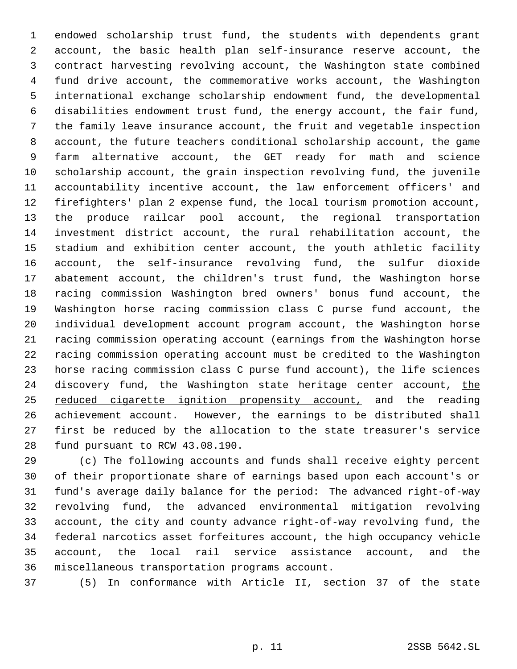endowed scholarship trust fund, the students with dependents grant account, the basic health plan self-insurance reserve account, the contract harvesting revolving account, the Washington state combined fund drive account, the commemorative works account, the Washington international exchange scholarship endowment fund, the developmental disabilities endowment trust fund, the energy account, the fair fund, the family leave insurance account, the fruit and vegetable inspection account, the future teachers conditional scholarship account, the game farm alternative account, the GET ready for math and science scholarship account, the grain inspection revolving fund, the juvenile accountability incentive account, the law enforcement officers' and firefighters' plan 2 expense fund, the local tourism promotion account, the produce railcar pool account, the regional transportation investment district account, the rural rehabilitation account, the stadium and exhibition center account, the youth athletic facility account, the self-insurance revolving fund, the sulfur dioxide abatement account, the children's trust fund, the Washington horse racing commission Washington bred owners' bonus fund account, the Washington horse racing commission class C purse fund account, the individual development account program account, the Washington horse racing commission operating account (earnings from the Washington horse racing commission operating account must be credited to the Washington horse racing commission class C purse fund account), the life sciences 24 discovery fund, the Washington state heritage center account, the 25 reduced cigarette ignition propensity account, and the reading achievement account. However, the earnings to be distributed shall first be reduced by the allocation to the state treasurer's service fund pursuant to RCW 43.08.190.

 (c) The following accounts and funds shall receive eighty percent of their proportionate share of earnings based upon each account's or fund's average daily balance for the period: The advanced right-of-way revolving fund, the advanced environmental mitigation revolving account, the city and county advance right-of-way revolving fund, the federal narcotics asset forfeitures account, the high occupancy vehicle account, the local rail service assistance account, and the miscellaneous transportation programs account.

(5) In conformance with Article II, section 37 of the state